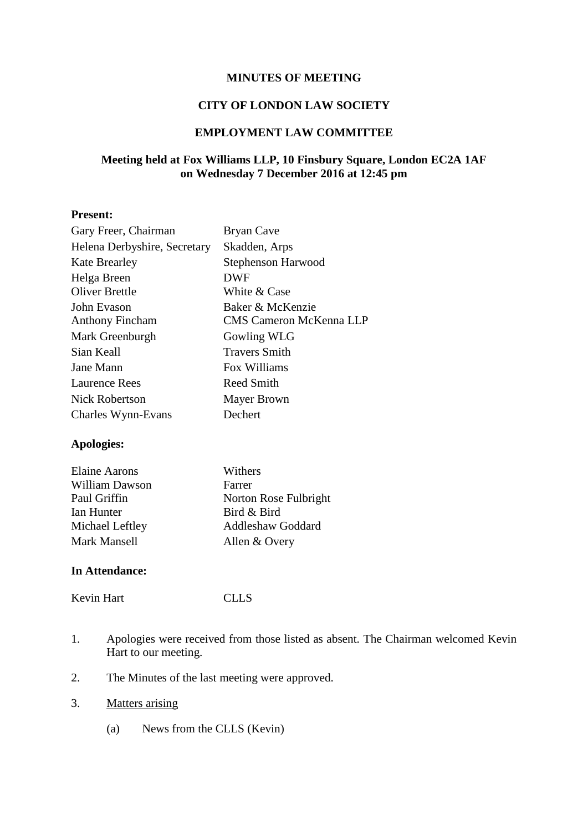### **MINUTES OF MEETING**

# **CITY OF LONDON LAW SOCIETY**

# **EMPLOYMENT LAW COMMITTEE**

# **Meeting held at Fox Williams LLP, 10 Finsbury Square, London EC2A 1AF on Wednesday 7 December 2016 at 12:45 pm**

# **Present:**

| Gary Freer, Chairman         | <b>Bryan Cave</b>              |
|------------------------------|--------------------------------|
| Helena Derbyshire, Secretary | Skadden, Arps                  |
| <b>Kate Brearley</b>         | Stephenson Harwood             |
| Helga Breen                  | DWF                            |
| <b>Oliver Brettle</b>        | White & Case                   |
| John Evason                  | Baker & McKenzie               |
| <b>Anthony Fincham</b>       | <b>CMS Cameron McKenna LLP</b> |
| Mark Greenburgh              | Gowling WLG                    |
| Sian Keall                   | <b>Travers Smith</b>           |
| Jane Mann                    | Fox Williams                   |
| <b>Laurence Rees</b>         | Reed Smith                     |
| <b>Nick Robertson</b>        | Mayer Brown                    |
| Charles Wynn-Evans           | Dechert                        |
|                              |                                |

### **Apologies:**

| <b>Elaine Aarons</b>  | Withers                  |
|-----------------------|--------------------------|
| <b>William Dawson</b> | Farrer                   |
| Paul Griffin          | Norton Rose Fulbright    |
| Ian Hunter            | Bird & Bird              |
| Michael Leftley       | <b>Addleshaw Goddard</b> |
| Mark Mansell          | Allen & Overy            |

#### **In Attendance:**

Kevin Hart CLLS

- 1. Apologies were received from those listed as absent. The Chairman welcomed Kevin Hart to our meeting.
- 2. The Minutes of the last meeting were approved.
- 3. Matters arising
	- (a) News from the CLLS (Kevin)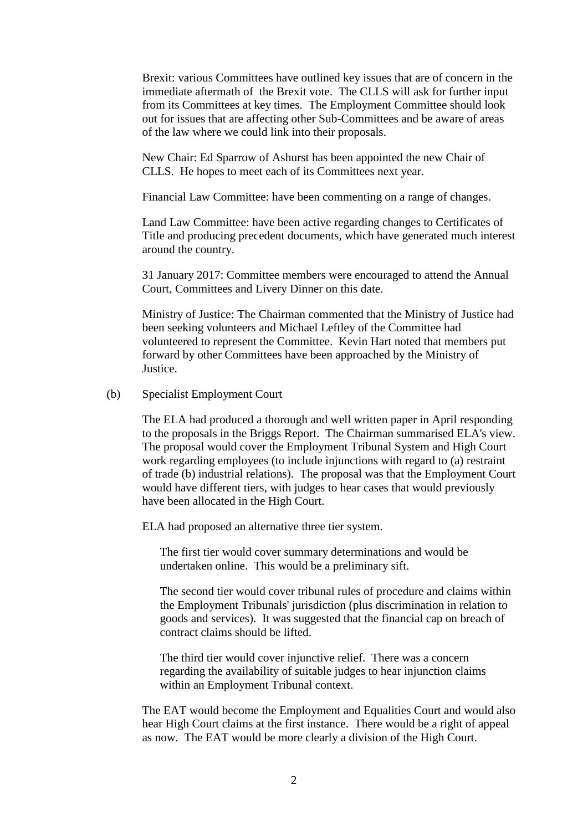Brexit: various Committees have outlined key issues that are of concern in the immediate aftermath of the Brexit vote. The CLLS will ask for further input from its Committees at key times. The Employment Committee should look out for issues that are affecting other Sub-Committees and be aware of areas of the law where we could link into their proposals.

New Chair: Ed Sparrow of Ashurst has been appointed the new Chair of CLLS. He hopes to meet each of its Committees next year.

Financial Law Committee: have been commenting on a range of changes.

Land Law Committee: have been active regarding changes to Certificates of Title and producing precedent documents, which have generated much interest around the country.

31 January 2017: Committee members were encouraged to attend the Annual Court, Committees and Livery Dinner on this date.

Ministry of Justice: The Chairman commented that the Ministry of Justice had been seeking volunteers and Michael Leftley of the Committee had volunteered to represent the Committee. Kevin Hart noted that members put forward by other Committees have been approached by the Ministry of Justice.

### (b) Specialist Employment Court

The ELA had produced a thorough and well written paper in April responding to the proposals in the Briggs Report. The Chairman summarised ELA's view. The proposal would cover the Employment Tribunal System and High Court work regarding employees (to include injunctions with regard to (a) restraint of trade (b) industrial relations). The proposal was that the Employment Court would have different tiers, with judges to hear cases that would previously have been allocated in the High Court.

ELA had proposed an alternative three tier system.

The first tier would cover summary determinations and would be undertaken online. This would be a preliminary sift.

The second tier would cover tribunal rules of procedure and claims within the Employment Tribunals' jurisdiction (plus discrimination in relation to goods and services). It was suggested that the financial cap on breach of contract claims should be lifted.

The third tier would cover injunctive relief. There was a concern regarding the availability of suitable judges to hear injunction claims within an Employment Tribunal context.

The EAT would become the Employment and Equalities Court and would also hear High Court claims at the first instance. There would be a right of appeal as now. The EAT would be more clearly a division of the High Court.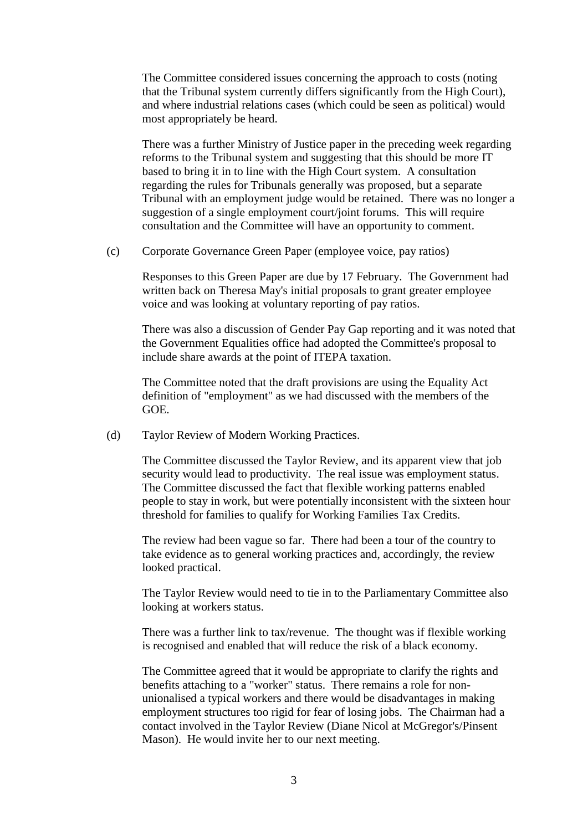The Committee considered issues concerning the approach to costs (noting that the Tribunal system currently differs significantly from the High Court), and where industrial relations cases (which could be seen as political) would most appropriately be heard.

There was a further Ministry of Justice paper in the preceding week regarding reforms to the Tribunal system and suggesting that this should be more IT based to bring it in to line with the High Court system. A consultation regarding the rules for Tribunals generally was proposed, but a separate Tribunal with an employment judge would be retained. There was no longer a suggestion of a single employment court/joint forums. This will require consultation and the Committee will have an opportunity to comment.

(c) Corporate Governance Green Paper (employee voice, pay ratios)

Responses to this Green Paper are due by 17 February. The Government had written back on Theresa May's initial proposals to grant greater employee voice and was looking at voluntary reporting of pay ratios.

There was also a discussion of Gender Pay Gap reporting and it was noted that the Government Equalities office had adopted the Committee's proposal to include share awards at the point of ITEPA taxation.

The Committee noted that the draft provisions are using the Equality Act definition of "employment" as we had discussed with the members of the GOE.

(d) Taylor Review of Modern Working Practices.

The Committee discussed the Taylor Review, and its apparent view that job security would lead to productivity. The real issue was employment status. The Committee discussed the fact that flexible working patterns enabled people to stay in work, but were potentially inconsistent with the sixteen hour threshold for families to qualify for Working Families Tax Credits.

The review had been vague so far. There had been a tour of the country to take evidence as to general working practices and, accordingly, the review looked practical.

The Taylor Review would need to tie in to the Parliamentary Committee also looking at workers status.

There was a further link to tax/revenue. The thought was if flexible working is recognised and enabled that will reduce the risk of a black economy.

The Committee agreed that it would be appropriate to clarify the rights and benefits attaching to a "worker" status. There remains a role for nonunionalised a typical workers and there would be disadvantages in making employment structures too rigid for fear of losing jobs. The Chairman had a contact involved in the Taylor Review (Diane Nicol at McGregor's/Pinsent Mason). He would invite her to our next meeting.